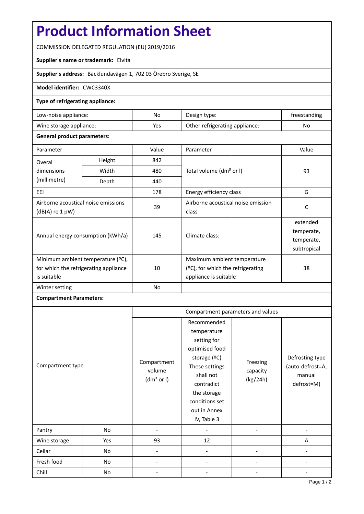# **Product Information Sheet**

COMMISSION DELEGATED REGULATION (EU) 2019/2016

## **Supplier's name or trademark:** Elvita

**Supplier's address:** Bäcklundavägen 1, 702 03 Örebro Sverige, SE

#### **Model identifier:** CWC3340X

#### **Type of refrigerating appliance:**

| Low-noise appliance:    | No  | Design type:                   | freestanding |
|-------------------------|-----|--------------------------------|--------------|
| Wine storage appliance: | Yes | Other refrigerating appliance: | No           |

## **General product parameters:**

| Parameter                                                                                 |               | Value | Parameter                                                                                    | Value                                               |
|-------------------------------------------------------------------------------------------|---------------|-------|----------------------------------------------------------------------------------------------|-----------------------------------------------------|
| Overal                                                                                    | Height<br>842 |       |                                                                                              |                                                     |
| dimensions<br>(millimetre)                                                                | Width         | 480   | Total volume (dm <sup>3</sup> or I)                                                          | 93                                                  |
|                                                                                           | Depth         | 440   |                                                                                              |                                                     |
| EEI                                                                                       |               | 178   | Energy efficiency class                                                                      | G                                                   |
| Airborne acoustical noise emissions<br>$(dB(A)$ re 1 pW)                                  |               | 39    | Airborne acoustical noise emission<br>class                                                  | C                                                   |
| Annual energy consumption (kWh/a)                                                         |               | 145   | Climate class:                                                                               | extended<br>temperate,<br>temperate,<br>subtropical |
| Minimum ambient temperature (°C),<br>for which the refrigerating appliance<br>is suitable |               | 10    | Maximum ambient temperature<br>$(2C)$ , for which the refrigerating<br>appliance is suitable | 38                                                  |
| Winter setting                                                                            |               | No    |                                                                                              |                                                     |

# **Compartment Parameters:**

|                  |     | Compartment parameters and values               |                                                                                                                                                                                          |                                  |                                                             |
|------------------|-----|-------------------------------------------------|------------------------------------------------------------------------------------------------------------------------------------------------------------------------------------------|----------------------------------|-------------------------------------------------------------|
| Compartment type |     | Compartment<br>volume<br>(dm <sup>3</sup> or I) | Recommended<br>temperature<br>setting for<br>optimised food<br>storage (°C)<br>These settings<br>shall not<br>contradict<br>the storage<br>conditions set<br>out in Annex<br>IV, Table 3 | Freezing<br>capacity<br>(kg/24h) | Defrosting type<br>(auto-defrost=A,<br>manual<br>defrost=M) |
| Pantry           | No  |                                                 |                                                                                                                                                                                          |                                  |                                                             |
| Wine storage     | Yes | 93                                              | 12                                                                                                                                                                                       |                                  | Α                                                           |
| Cellar           | No  |                                                 |                                                                                                                                                                                          |                                  |                                                             |
| Fresh food       | No  |                                                 |                                                                                                                                                                                          |                                  |                                                             |
| Chill            | No  |                                                 |                                                                                                                                                                                          |                                  |                                                             |